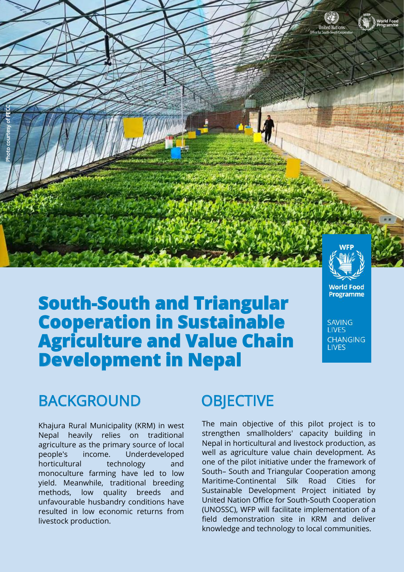

# **South-South and Triangular Cooperation in Sustainable Agriculture and Value Chain Development in Nepal**

### BACKGROUND OBJECTIVE

Khajura Rural Municipality (KRM) in west Nepal heavily relies on traditional agriculture as the primary source of local people's income. Underdeveloped horticultural technology and monoculture farming have led to low yield. Meanwhile, traditional breeding methods, low quality breeds and unfavourable husbandry conditions have resulted in low economic returns from livestock production.

The main objective of this pilot project is to strengthen smallholders' capacity building in Nepal in horticultural and livestock production, as well as agriculture value chain development. As one of the pilot initiative under the framework of South– South and Triangular Cooperation among Maritime-Continental Silk Road Cities for Sustainable Development Project initiated by United Nation Office for South-South Cooperation (UNOSSC), WFP will facilitate implementation of a field demonstration site in KRM and deliver knowledge and technology to local communities.

**World Food Programme** 

**SAVING LIVES** 

**CHANGING LIVES**